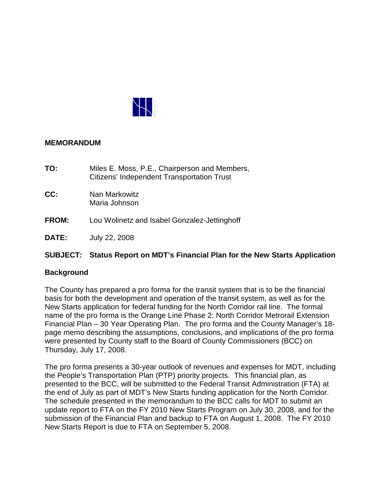

## **MEMORANDUM**

- **TO:** Miles E. Moss, P.E., Chairperson and Members, Citizens' Independent Transportation Trust
- **CC:** Nan Markowitz Maria Johnson
- **FROM:** Lou Wolinetz and Isabel Gonzalez-Jettinghoff
- **DATE:** July 22, 2008

# **SUBJECT: Status Report on MDT's Financial Plan for the New Starts Application**

# **Background**

The County has prepared a pro forma for the transit system that is to be the financial basis for both the development and operation of the transit system, as well as for the New Starts application for federal funding for the North Corridor rail line. The formal name of the pro forma is the Orange Line Phase 2: North Corridor Metrorail Extension Financial Plan – 30 Year Operating Plan. The pro forma and the County Manager's 18 page memo describing the assumptions, conclusions, and implications of the pro forma were presented by County staff to the Board of County Commissioners (BCC) on Thursday, July 17, 2008.

The pro forma presents a 30-year outlook of revenues and expenses for MDT, including the People's Transportation Plan (PTP) priority projects. This financial plan, as presented to the BCC, will be submitted to the Federal Transit Administration (FTA) at the end of July as part of MDT's New Starts funding application for the North Corridor. The schedule presented in the memorandum to the BCC calls for MDT to submit an update report to FTA on the FY 2010 New Starts Program on July 30, 2008, and for the submission of the Financial Plan and backup to FTA on August 1, 2008. The FY 2010 New Starts Report is due to FTA on September 5, 2008.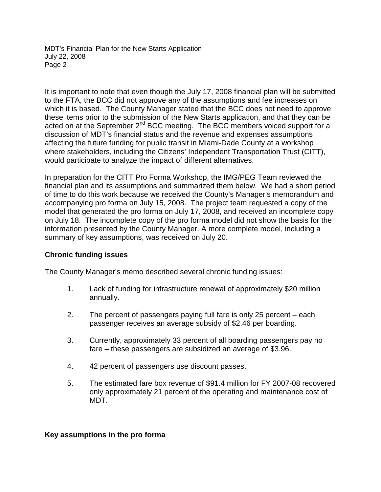It is important to note that even though the July 17, 2008 financial plan will be submitted to the FTA, the BCC did not approve any of the assumptions and fee increases on which it is based. The County Manager stated that the BCC does not need to approve these items prior to the submission of the New Starts application, and that they can be acted on at the September 2<sup>nd</sup> BCC meeting. The BCC members voiced support for a discussion of MDT's financial status and the revenue and expenses assumptions affecting the future funding for public transit in Miami-Dade County at a workshop where stakeholders, including the Citizens' Independent Transportation Trust (CITT), would participate to analyze the impact of different alternatives.

In preparation for the CITT Pro Forma Workshop, the IMG/PEG Team reviewed the financial plan and its assumptions and summarized them below. We had a short period of time to do this work because we received the County's Manager's memorandum and accompanying pro forma on July 15, 2008. The project team requested a copy of the model that generated the pro forma on July 17, 2008, and received an incomplete copy on July 18. The incomplete copy of the pro forma model did not show the basis for the information presented by the County Manager. A more complete model, including a summary of key assumptions, was received on July 20.

# **Chronic funding issues**

The County Manager's memo described several chronic funding issues:

- 1. Lack of funding for infrastructure renewal of approximately \$20 million annually.
- 2. The percent of passengers paying full fare is only 25 percent each passenger receives an average subsidy of \$2.46 per boarding.
- 3. Currently, approximately 33 percent of all boarding passengers pay no fare – these passengers are subsidized an average of \$3.96.
- 4. 42 percent of passengers use discount passes.
- 5. The estimated fare box revenue of \$91.4 million for FY 2007-08 recovered only approximately 21 percent of the operating and maintenance cost of MDT.

# **Key assumptions in the pro forma**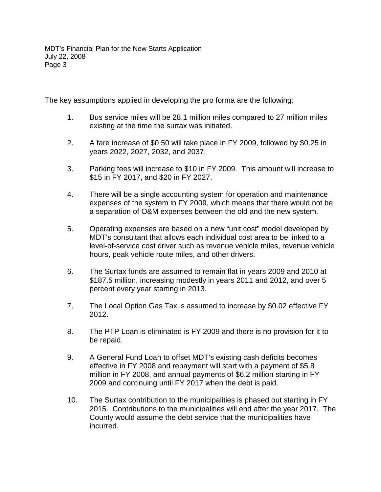The key assumptions applied in developing the pro forma are the following:

- 1. Bus service miles will be 28.1 million miles compared to 27 million miles existing at the time the surtax was initiated.
- 2. A fare increase of \$0.50 will take place in FY 2009, followed by \$0.25 in years 2022, 2027, 2032, and 2037.
- 3. Parking fees will increase to \$10 in FY 2009. This amount will increase to \$15 in FY 2017, and \$20 in FY 2027.
- 4. There will be a single accounting system for operation and maintenance expenses of the system in FY 2009, which means that there would not be a separation of O&M expenses between the old and the new system.
- 5. Operating expenses are based on a new "unit cost" model developed by MDT's consultant that allows each individual cost area to be linked to a level-of-service cost driver such as revenue vehicle miles, revenue vehicle hours, peak vehicle route miles, and other drivers.
- 6. The Surtax funds are assumed to remain flat in years 2009 and 2010 at \$187.5 million, increasing modestly in years 2011 and 2012, and over 5 percent every year starting in 2013.
- 7. The Local Option Gas Tax is assumed to increase by \$0.02 effective FY 2012.
- 8. The PTP Loan is eliminated is FY 2009 and there is no provision for it to be repaid.
- 9. A General Fund Loan to offset MDT's existing cash deficits becomes effective in FY 2008 and repayment will start with a payment of \$5.8 million in FY 2008, and annual payments of \$6.2 million starting in FY 2009 and continuing until FY 2017 when the debt is paid.
- 10. The Surtax contribution to the municipalities is phased out starting in FY 2015. Contributions to the municipalities will end after the year 2017. The County would assume the debt service that the municipalities have incurred.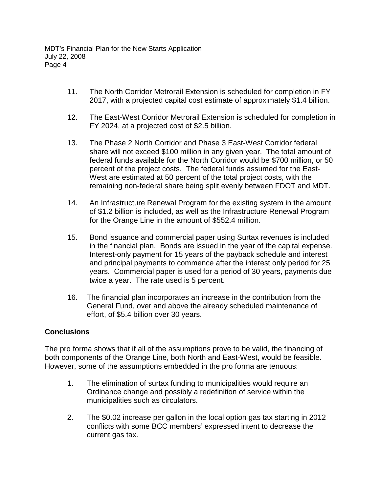- 11. The North Corridor Metrorail Extension is scheduled for completion in FY 2017, with a projected capital cost estimate of approximately \$1.4 billion.
- 12. The East-West Corridor Metrorail Extension is scheduled for completion in FY 2024, at a projected cost of \$2.5 billion.
- 13. The Phase 2 North Corridor and Phase 3 East-West Corridor federal share will not exceed \$100 million in any given year. The total amount of federal funds available for the North Corridor would be \$700 million, or 50 percent of the project costs. The federal funds assumed for the East-West are estimated at 50 percent of the total project costs, with the remaining non-federal share being split evenly between FDOT and MDT.
- 14. An Infrastructure Renewal Program for the existing system in the amount of \$1.2 billion is included, as well as the Infrastructure Renewal Program for the Orange Line in the amount of \$552.4 million.
- 15. Bond issuance and commercial paper using Surtax revenues is included in the financial plan. Bonds are issued in the year of the capital expense. Interest-only payment for 15 years of the payback schedule and interest and principal payments to commence after the interest only period for 25 years. Commercial paper is used for a period of 30 years, payments due twice a year. The rate used is 5 percent.
- 16. The financial plan incorporates an increase in the contribution from the General Fund, over and above the already scheduled maintenance of effort, of \$5.4 billion over 30 years.

# **Conclusions**

The pro forma shows that if all of the assumptions prove to be valid, the financing of both components of the Orange Line, both North and East-West, would be feasible. However, some of the assumptions embedded in the pro forma are tenuous:

- 1. The elimination of surtax funding to municipalities would require an Ordinance change and possibly a redefinition of service within the municipalities such as circulators.
- 2. The \$0.02 increase per gallon in the local option gas tax starting in 2012 conflicts with some BCC members' expressed intent to decrease the current gas tax.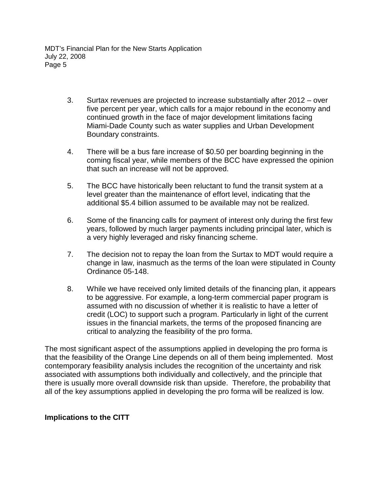- 3. Surtax revenues are projected to increase substantially after 2012 over five percent per year, which calls for a major rebound in the economy and continued growth in the face of major development limitations facing Miami-Dade County such as water supplies and Urban Development Boundary constraints.
- 4. There will be a bus fare increase of \$0.50 per boarding beginning in the coming fiscal year, while members of the BCC have expressed the opinion that such an increase will not be approved.
- 5. The BCC have historically been reluctant to fund the transit system at a level greater than the maintenance of effort level, indicating that the additional \$5.4 billion assumed to be available may not be realized.
- 6. Some of the financing calls for payment of interest only during the first few years, followed by much larger payments including principal later, which is a very highly leveraged and risky financing scheme.
- 7. The decision not to repay the loan from the Surtax to MDT would require a change in law, inasmuch as the terms of the loan were stipulated in County Ordinance 05-148.
- 8. While we have received only limited details of the financing plan, it appears to be aggressive. For example, a long-term commercial paper program is assumed with no discussion of whether it is realistic to have a letter of credit (LOC) to support such a program. Particularly in light of the current issues in the financial markets, the terms of the proposed financing are critical to analyzing the feasibility of the pro forma.

The most significant aspect of the assumptions applied in developing the pro forma is that the feasibility of the Orange Line depends on all of them being implemented. Most contemporary feasibility analysis includes the recognition of the uncertainty and risk associated with assumptions both individually and collectively, and the principle that there is usually more overall downside risk than upside. Therefore, the probability that all of the key assumptions applied in developing the pro forma will be realized is low.

# **Implications to the CITT**